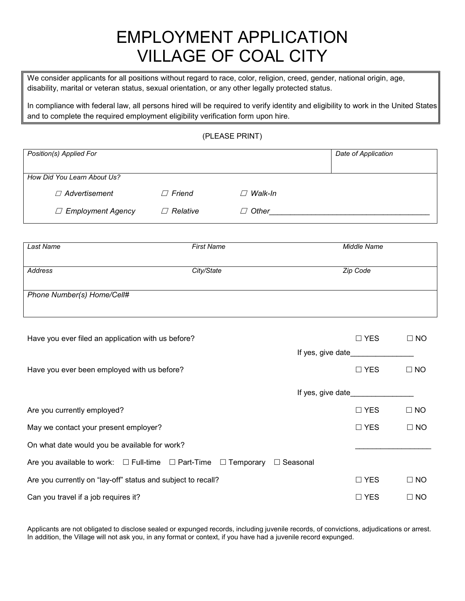### EMPLOYMENT APPLICATION VILLAGE OF COAL CITY

We consider applicants for all positions without regard to race, color, religion, creed, gender, national origin, age, disability, marital or veteran status, sexual orientation, or any other legally protected status.

In compliance with federal law, all persons hired will be required to verify identity and eligibility to work in the United States and to complete the required employment eligibility verification form upon hire.

(PLEASE PRINT)

| Position(s) Applied For     |                        |                | Date of Application |
|-----------------------------|------------------------|----------------|---------------------|
|                             |                        |                |                     |
| How Did You Learn About Us? |                        |                |                     |
| $\Box$ Advertisement        | $\Box$ Friend          | $\Box$ Walk-In |                     |
| $\Box$ Employment Agency    | Relative<br>$\sqrt{ }$ | $\Box$ Other   |                     |

| Last Name                  | <b>First Name</b> | Middle Name |  |  |
|----------------------------|-------------------|-------------|--|--|
|                            |                   |             |  |  |
| Address                    | City/State        | Zip Code    |  |  |
|                            |                   |             |  |  |
|                            |                   |             |  |  |
| Phone Number(s) Home/Cell# |                   |             |  |  |
|                            |                   |             |  |  |
|                            |                   |             |  |  |

| Have you ever filed an application with us before?                                                        | $\Box$ YES | $\Box$ NO |
|-----------------------------------------------------------------------------------------------------------|------------|-----------|
| If yes, give date                                                                                         |            |           |
| Have you ever been employed with us before?                                                               | $\Box$ YES | $\Box$ NO |
| If yes, give date                                                                                         |            |           |
| Are you currently employed?                                                                               | $\Box$ YES | $\Box$ NO |
| May we contact your present employer?                                                                     | $\Box$ YES | $\Box$ NO |
| On what date would you be available for work?                                                             |            |           |
| Are you available to work: $\square$ Full-time $\square$ Part-Time $\square$ Temporary<br>$\Box$ Seasonal |            |           |
| Are you currently on "lay-off" status and subject to recall?                                              | $\Box$ YES | $\Box$ NO |
| Can you travel if a job requires it?                                                                      | $\Box$ YES | I NO<br>П |

Applicants are not obligated to disclose sealed or expunged records, including juvenile records, of convictions, adjudications or arrest. In addition, the Village will not ask you, in any format or context, if you have had a juvenile record expunged.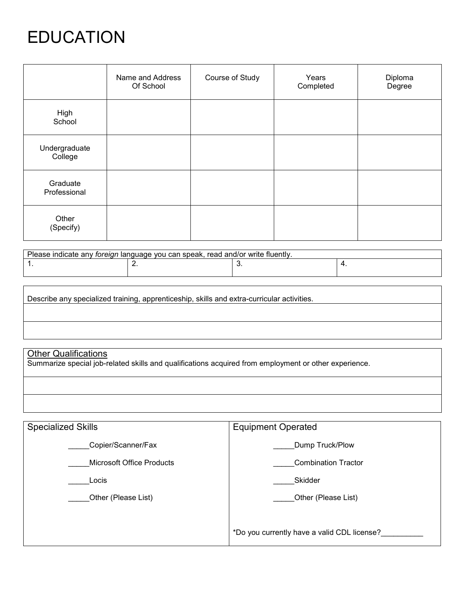## EDUCATION

|                          | Name and Address<br>Of School | Course of Study | Years<br>Completed | Diploma<br>Degree |
|--------------------------|-------------------------------|-----------------|--------------------|-------------------|
| High<br>School           |                               |                 |                    |                   |
| Undergraduate<br>College |                               |                 |                    |                   |
| Graduate<br>Professional |                               |                 |                    |                   |
| Other<br>(Specify)       |                               |                 |                    |                   |

| Please indicate any foreign language you can speak, read and/or write fluently. |     |   |  |  |
|---------------------------------------------------------------------------------|-----|---|--|--|
|                                                                                 | . . | ັ |  |  |
|                                                                                 |     |   |  |  |

| Describe any specialized training, apprenticeship, skills and extra-curricular activities. |  |  |  |
|--------------------------------------------------------------------------------------------|--|--|--|
|                                                                                            |  |  |  |
|                                                                                            |  |  |  |
|                                                                                            |  |  |  |

#### <u> Other Qualifications</u>

Summarize special job-related skills and qualifications acquired from employment or other experience.

| <b>Specialized Skills</b> | <b>Equipment Operated</b>                   |  |
|---------------------------|---------------------------------------------|--|
| Copier/Scanner/Fax        | Dump Truck/Plow                             |  |
| Microsoft Office Products | <b>Combination Tractor</b>                  |  |
| Locis                     | Skidder                                     |  |
| Other (Please List)       | Other (Please List)                         |  |
|                           |                                             |  |
|                           | *Do you currently have a valid CDL license? |  |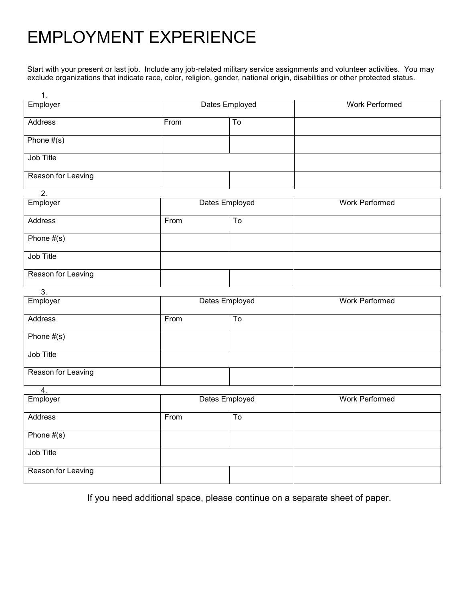# EMPLOYMENT EXPERIENCE

Start with your present or last job. Include any job-related military service assignments and volunteer activities. You may exclude organizations that indicate race, color, religion, gender, national origin, disabilities or other protected status.

| 1.                 |                |                                   |                       |
|--------------------|----------------|-----------------------------------|-----------------------|
| Employer           | Dates Employed |                                   | <b>Work Performed</b> |
| Address            | From           | $\overline{10}$                   |                       |
|                    |                |                                   |                       |
| Phone $#(s)$       |                |                                   |                       |
|                    |                |                                   |                       |
| Job Title          |                |                                   |                       |
| Reason for Leaving |                |                                   |                       |
|                    |                |                                   |                       |
| $\overline{2}$ .   |                |                                   |                       |
| Employer           |                | Dates Employed                    | <b>Work Performed</b> |
| Address            | From           | $\overline{\mathsf{T}}\mathsf{o}$ |                       |
|                    |                |                                   |                       |
| Phone $#(s)$       |                |                                   |                       |
|                    |                |                                   |                       |
| Job Title          |                |                                   |                       |
| Reason for Leaving |                |                                   |                       |
|                    |                |                                   |                       |
| $\overline{3}$ .   |                |                                   |                       |
| Employer           |                | Dates Employed                    | <b>Work Performed</b> |
| Address            | From           | To                                |                       |
|                    |                |                                   |                       |
| Phone $#(s)$       |                |                                   |                       |
|                    |                |                                   |                       |
| Job Title          |                |                                   |                       |
| Reason for Leaving |                |                                   |                       |
|                    |                |                                   |                       |
| $\overline{4}$ .   |                |                                   |                       |
| Employer           | Dates Employed |                                   | <b>Work Performed</b> |
| Address            | From           | $\overline{\mathsf{T}}\mathsf{o}$ |                       |
|                    |                |                                   |                       |
| Phone $#(s)$       |                |                                   |                       |
|                    |                |                                   |                       |
| Job Title          |                |                                   |                       |
| Reason for Leaving |                |                                   |                       |
|                    |                |                                   |                       |
|                    |                |                                   |                       |

If you need additional space, please continue on a separate sheet of paper.